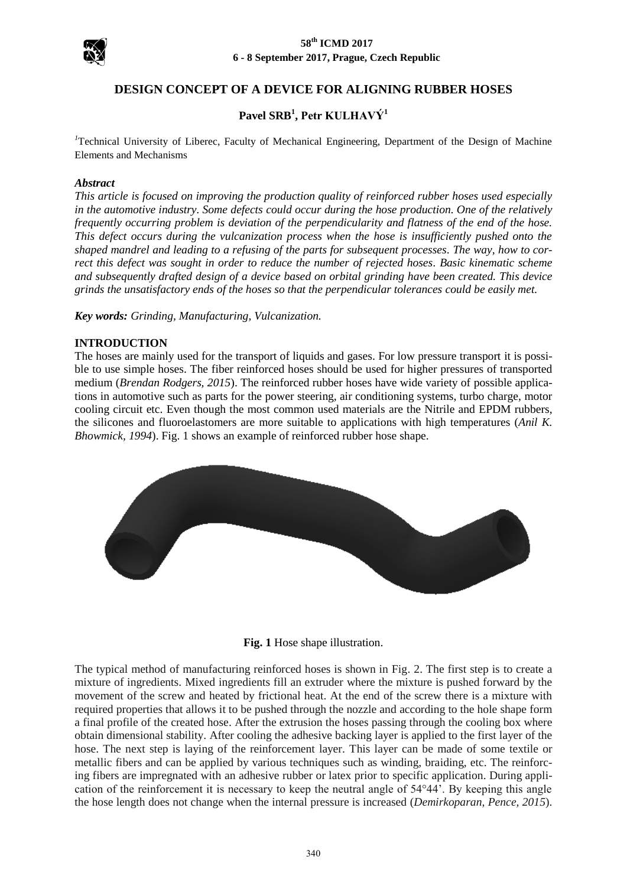

## **DESIGN CONCEPT OF A DEVICE FOR ALIGNING RUBBER HOSES**

# **Pavel SRB<sup>1</sup> , Petr KULHAVÝ<sup>1</sup>**

<sup>1</sup>Technical University of Liberec, Faculty of Mechanical Engineering, Department of the Design of Machine Elements and Mechanisms

#### *Abstract*

*This article is focused on improving the production quality of reinforced rubber hoses used especially in the automotive industry. Some defects could occur during the hose production. One of the relatively frequently occurring problem is deviation of the perpendicularity and flatness of the end of the hose. This defect occurs during the vulcanization process when the hose is insufficiently pushed onto the shaped mandrel and leading to a refusing of the parts for subsequent processes. The way, how to correct this defect was sought in order to reduce the number of rejected hoses. Basic kinematic scheme and subsequently drafted design of a device based on orbital grinding have been created. This device grinds the unsatisfactory ends of the hoses so that the perpendicular tolerances could be easily met.* 

*Key words: Grinding, Manufacturing, Vulcanization.*

#### **INTRODUCTION**

The hoses are mainly used for the transport of liquids and gases. For low pressure transport it is possible to use simple hoses. The fiber reinforced hoses should be used for higher pressures of transported medium (*Brendan Rodgers, 2015*). The reinforced rubber hoses have wide variety of possible applications in automotive such as parts for the power steering, air conditioning systems, turbo charge, motor cooling circuit etc. Even though the most common used materials are the Nitrile and EPDM rubbers, the silicones and fluoroelastomers are more suitable to applications with high temperatures (*Anil K. Bhowmick, 1994*). Fig. 1 shows an example of reinforced rubber hose shape.



**Fig. 1** Hose shape illustration.

The typical method of manufacturing reinforced hoses is shown in Fig. 2. The first step is to create a mixture of ingredients. Mixed ingredients fill an extruder where the mixture is pushed forward by the movement of the screw and heated by frictional heat. At the end of the screw there is a mixture with required properties that allows it to be pushed through the nozzle and according to the hole shape form a final profile of the created hose. After the extrusion the hoses passing through the cooling box where obtain dimensional stability. After cooling the adhesive backing layer is applied to the first layer of the hose. The next step is laying of the reinforcement layer. This layer can be made of some textile or metallic fibers and can be applied by various techniques such as winding, braiding, etc. The reinforcing fibers are impregnated with an adhesive rubber or latex prior to specific application. During application of the reinforcement it is necessary to keep the neutral angle of 54°44'. By keeping this angle the hose length does not change when the internal pressure is increased (*Demirkoparan, Pence, 2015*).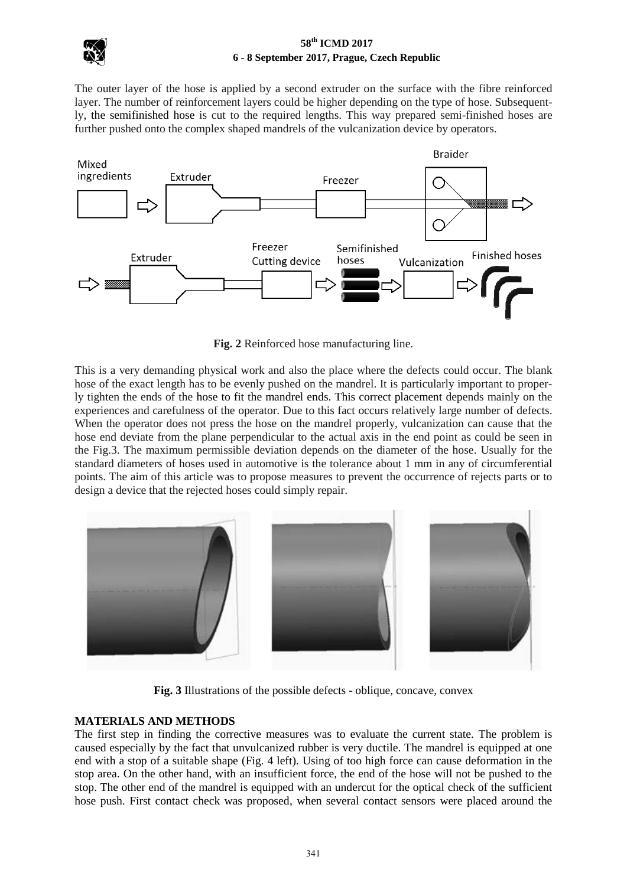

The outer layer of the hose is applied by a second extruder on the surface with the fibre reinforced layer. The number of reinforcement layers could be higher depending on the type of hose. Subsequently, the semifinished hose is cut to the required lengths. This way prepared semi-finished hoses are further pushed onto the complex shaped mandrels of the vulcanization device by operators.



**Fig. 2** Reinforced hose manufacturing line.

This is a very demanding physical work and also the place where the defects could occur. The blank hose of the exact length has to be evenly pushed on the mandrel. It is particularly important to properly tighten the ends of the hose to fit the mandrel ends. This correct placement depends mainly on the experiences and carefulness of the operator. Due to this fact occurs relatively large number of defects. When the operator does not press the hose on the mandrel properly, vulcanization can cause that the hose end deviate from the plane perpendicular to the actual axis in the end point as could be seen in the Fig.3. The maximum permissible deviation depends on the diameter of the hose. Usually for the standard diameters of hoses used in automotive is the tolerance about 1 mm in any of circumferential points. The aim of this article was to propose measures to prevent the occurrence of rejects parts or to design a device that the rejected hoses could simply repair.



**Fig. 3** Illustrations of the possible defects - oblique, concave, convex

## **MATERIALS AND METHODS**

The first step in finding the corrective measures was to evaluate the current state. The problem is caused especially by the fact that unvulcanized rubber is very ductile. The mandrel is equipped at one end with a stop of a suitable shape (Fig. 4 left). Using of too high force can cause deformation in the stop area. On the other hand, with an insufficient force, the end of the hose will not be pushed to the stop. The other end of the mandrel is equipped with an undercut for the optical check of the sufficient hose push. First contact check was proposed, when several contact sensors were placed around the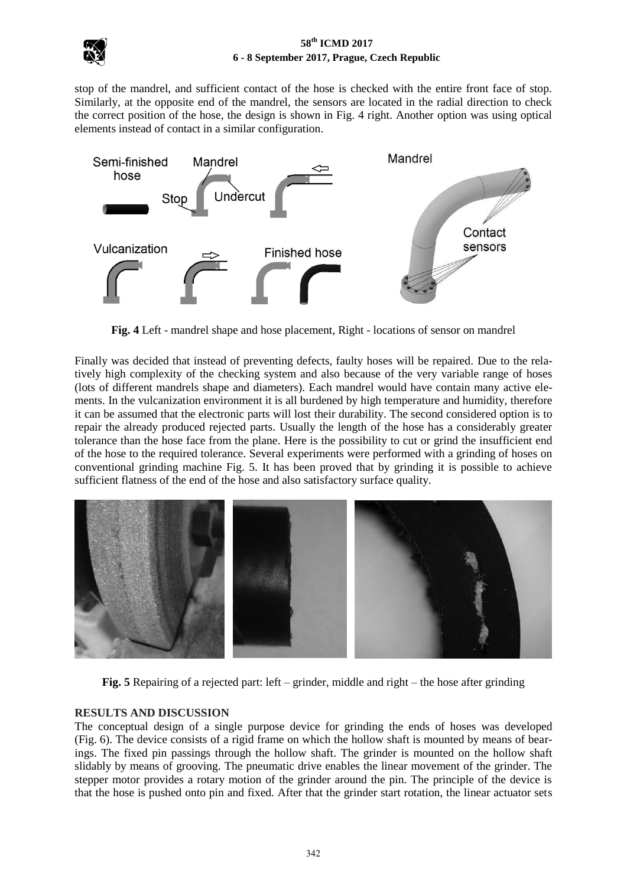

stop of the mandrel, and sufficient contact of the hose is checked with the entire front face of stop. Similarly, at the opposite end of the mandrel, the sensors are located in the radial direction to check the correct position of the hose, the design is shown in Fig. 4 right. Another option was using optical elements instead of contact in a similar configuration.



**Fig. 4** Left - mandrel shape and hose placement, Right - locations of sensor on mandrel

Finally was decided that instead of preventing defects, faulty hoses will be repaired. Due to the relatively high complexity of the checking system and also because of the very variable range of hoses (lots of different mandrels shape and diameters). Each mandrel would have contain many active elements. In the vulcanization environment it is all burdened by high temperature and humidity, therefore it can be assumed that the electronic parts will lost their durability. The second considered option is to repair the already produced rejected parts. Usually the length of the hose has a considerably greater tolerance than the hose face from the plane. Here is the possibility to cut or grind the insufficient end of the hose to the required tolerance. Several experiments were performed with a grinding of hoses on conventional grinding machine Fig. 5. It has been proved that by grinding it is possible to achieve sufficient flatness of the end of the hose and also satisfactory surface quality.



**Fig. 5** Repairing of a rejected part: left – grinder, middle and right – the hose after grinding

#### **RESULTS AND DISCUSSION**

The conceptual design of a single purpose device for grinding the ends of hoses was developed (Fig. 6). The device consists of a rigid frame on which the hollow shaft is mounted by means of bearings. The fixed pin passings through the hollow shaft. The grinder is mounted on the hollow shaft slidably by means of grooving. The pneumatic drive enables the linear movement of the grinder. The stepper motor provides a rotary motion of the grinder around the pin. The principle of the device is that the hose is pushed onto pin and fixed. After that the grinder start rotation, the linear actuator sets